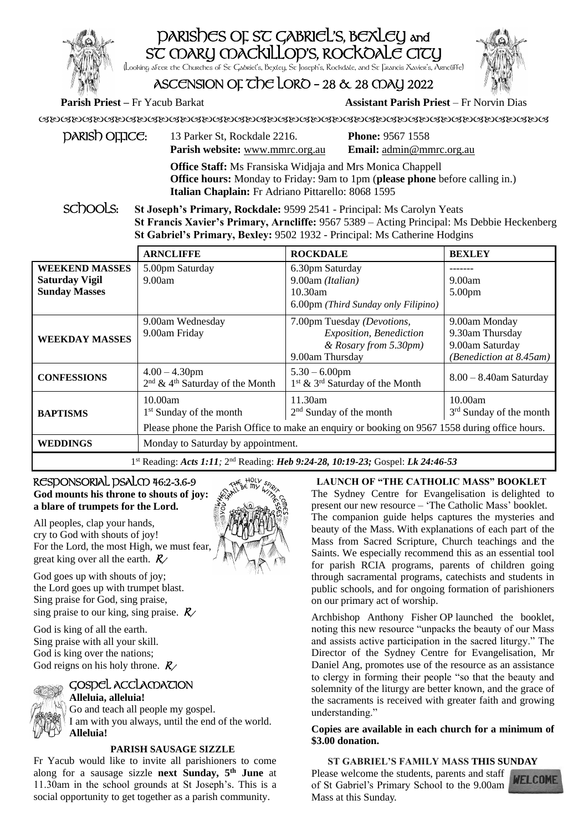# PARISHES OF ST GABRIEL'S, BEXLEY and ST MARY MACKILLOP'S, ROCKOALE CITY (Looking after the Churches of St Gabriel's, Bexley, St Joseph's, Rockdale, and St Francis Xavier's, Arncliffe)



# ASCENSION OF THE LORD - 28  $\&$  28 MAY 2022

# **Parish Priest –** Fr Yacub Barkat **Assistant Parish Priest** – Fr Norvin Dias

| $p$ ARIS $b$ OFFICE: | 13 Parker St, Rockdale 2216.                                                                                                               | <b>Phone: 9567 1558</b>         |  |
|----------------------|--------------------------------------------------------------------------------------------------------------------------------------------|---------------------------------|--|
|                      | <b>Parish website:</b> www.mmrc.org.au                                                                                                     | <b>Email:</b> admin@mmrc.org.au |  |
|                      | $\alpha$ . As $\alpha$ is a set to the set of $\alpha$ is a set of $\alpha$ is a set of $\alpha$ is a set of $\alpha$ is a set of $\alpha$ |                                 |  |

**Office Staff:** Ms Fransiska Widjaja and Mrs Monica Chappell **Office hours:** Monday to Friday: 9am to 1pm (**please phone** before calling in.) **Italian Chaplain:** Fr Adriano Pittarello: 8068 1595

SC<sub>DOOLS:</sub> St Joseph's Primary, Rockdale: 9599 2541 - Principal: Ms Carolyn Yeats **St Francis Xavier's Primary, Arncliffe:** 9567 5389 – Acting Principal: Ms Debbie Heckenberg **St Gabriel's Primary, Bexley:** 9502 1932 - Principal: Ms Catherine Hodgins

|                                                                                             | <b>ARNCLIFFE</b>                                                            | <b>ROCKDALE</b>                                                                                                                        | <b>BEXLEY</b>                                                                  |  |
|---------------------------------------------------------------------------------------------|-----------------------------------------------------------------------------|----------------------------------------------------------------------------------------------------------------------------------------|--------------------------------------------------------------------------------|--|
| <b>WEEKEND MASSES</b><br><b>Saturday Vigil</b><br><b>Sunday Masses</b>                      | 5.00pm Saturday<br>9.00am                                                   | 6.30pm Saturday<br>9.00am (Italian)<br>$10.30$ am<br>6.00pm (Third Sunday only Filipino)                                               | 9.00am<br>5.00 <sub>pm</sub>                                                   |  |
| <b>WEEKDAY MASSES</b>                                                                       | 9.00am Wednesday<br>9.00am Friday                                           | 7.00pm Tuesday (Devotions,<br>Exposition, Benediction<br>& Rosary from 5.30pm)<br>9.00am Thursday                                      | 9.00am Monday<br>9.30am Thursday<br>9.00am Saturday<br>(Benediction at 8.45am) |  |
| <b>CONFESSIONS</b>                                                                          | $4.00 - 4.30$ pm<br>2 <sup>nd</sup> & 4 <sup>th</sup> Saturday of the Month | $5.30 - 6.00$ pm<br>1 <sup>st</sup> & 3 <sup>rd</sup> Saturday of the Month                                                            | $8.00 - 8.40$ am Saturday                                                      |  |
| <b>BAPTISMS</b>                                                                             | 10.00am<br>1 <sup>st</sup> Sunday of the month                              | 11.30am<br>$2nd$ Sunday of the month<br>Please phone the Parish Office to make an enquiry or booking on 9567 1558 during office hours. | 10.00am<br>3 <sup>rd</sup> Sunday of the month                                 |  |
| <b>WEDDINGS</b>                                                                             | Monday to Saturday by appointment.                                          |                                                                                                                                        |                                                                                |  |
| 1st Reading: Acts 1:11; 2 <sup>nd</sup> Reading: Heb 9:24-28, 10:19-23; Gospel: Lk 24:46-53 |                                                                             |                                                                                                                                        |                                                                                |  |

## RESPONSORIAL PSALM 46:2-3.6-9 **God mounts his throne to shouts of joy: a blare of trumpets for the Lord.**

All peoples, clap your hands, cry to God with shouts of joy! For the Lord, the most High, we must fear, great king over all the earth.  $R_{\ell}$ 

God goes up with shouts of joy; the Lord goes up with trumpet blast. Sing praise for God, sing praise, sing praise to our king, sing praise.  $R_{\ell}$ 

God is king of all the earth. Sing praise with all your skill. God is king over the nations; God reigns on his holy throne.  $R_{\ell}$ 

# GOSPEL ACCLAMATION

**Alleluia, alleluia!** Go and teach all people my gospel. I am with you always, until the end of the world. **Alleluia!**

# **PARISH SAUSAGE SIZZLE**

Fr Yacub would like to invite all parishioners to come along for a sausage sizzle **next Sunday, 5th June** at 11.30am in the school grounds at St Joseph's. This is a social opportunity to get together as a parish community.



**LAUNCH OF "THE CATHOLIC MASS" BOOKLET** The Sydney Centre for Evangelisation is delighted to present our new resource – 'The Catholic Mass' booklet. The companion guide helps captures the mysteries and beauty of the Mass. With explanations of each part of the Mass from Sacred Scripture, Church teachings and the Saints. We especially recommend this as an essential tool for parish RCIA programs, parents of children going through sacramental programs, catechists and students in public schools, and for ongoing formation of parishioners on our primary act of worship.

Archbishop Anthony Fisher OP launched the booklet, noting this new resource "unpacks the beauty of our Mass and assists active participation in the sacred liturgy." The Director of the Sydney Centre for Evangelisation, Mr Daniel Ang, promotes use of the resource as an assistance to clergy in forming their people "so that the beauty and solemnity of the liturgy are better known, and the grace of the sacraments is received with greater faith and growing understanding."

## **Copies are available in each church for a minimum of \$3.00 donation.**

# **ST GABRIEL'S FAMILY MASS THIS SUNDAY**

Please welcome the students, parents and staff of St Gabriel's Primary School to the 9.00am Mass at this Sunday.